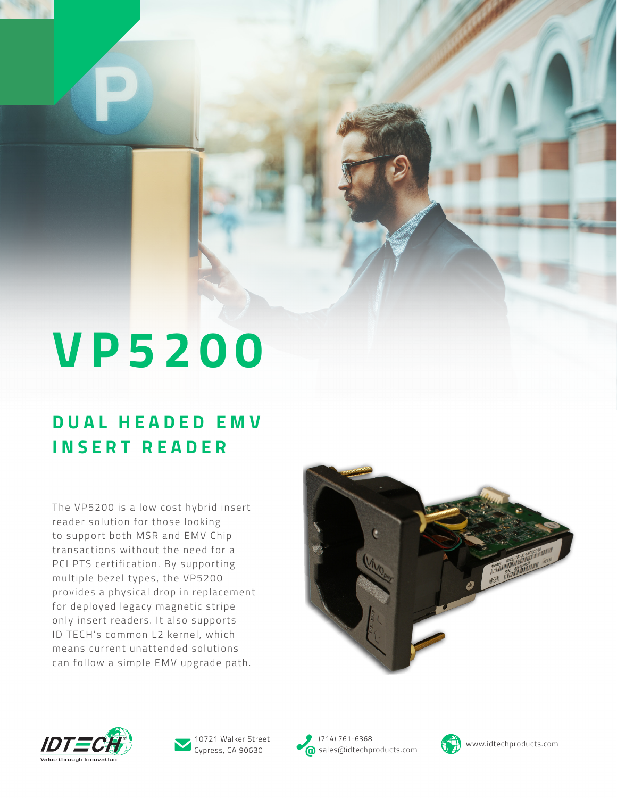# **VP5200**

### **D U A L H E A D E D E M V INSERT READER**

The VP5200 is a low cost hybrid insert reader solution for those looking to support both MSR and EMV Chip transactions without the need for a PCI PTS certification. By supporting multiple bezel types, the VP5200 provides a physical drop in replacement for deployed legacy magnetic stripe only insert readers. It also supports ID TECH's common L2 kernel, which means current unattended solutions can follow a simple EMV upgrade path.







(714) 761-6368 10721 Walker Street (174) 761-6368<br>Cypress, CA 90630 ales@idtechproducts.com (1) www.idtechproducts.com